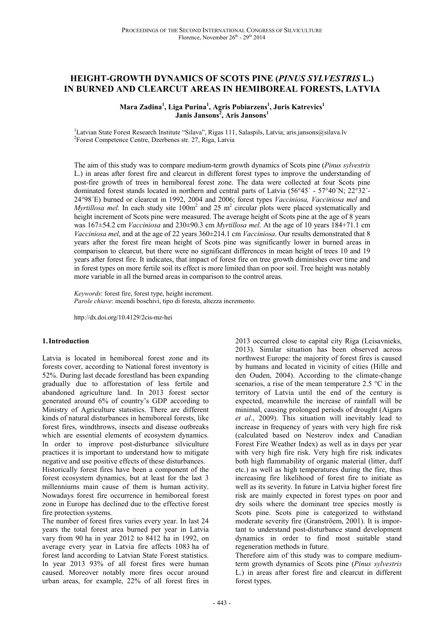# **HEIGHT-GROWTH DYNAMICS OF SCOTS PINE (***PINUS SYLVESTRIS* **L.) IN BURNED AND CLEARCUT AREAS IN HEMIBOREAL FORESTS, LATVIA**

**Mara Zadina<sup>1</sup> , Liga Purina<sup>1</sup> , Agris Pobiarzens<sup>1</sup> , Juris Katrevics<sup>1</sup> Janis Jansons<sup>2</sup> , Aris Jansons<sup>1</sup>**

<sup>1</sup>Latvian State Forest Research Institute "Silava", Rigas 111, Salaspils, Latvia; aris.jansons@silava.lv 2 Forest Competence Centre, Dzerbenes str. 27, Riga, Latvia

The aim of this study was to compare medium-term growth dynamics of Scots pine (*Pinus sylvestris* L.) in areas after forest fire and clearcut in different forest types to improve the understanding of post-fire growth of trees in hemiboreal forest zone. The data were collected at four Scots pine dominated forest stands located in northern and central parts of Latvia (56°45´ - 57°40´N; 22°32´- 24°98´E) burned or clearcut in 1992, 2004 and 2006; forest types *Vacciniosa, Vacciniosa mel* and *Myrtillosa mel*. In each study site  $100m^2$  and  $25 m^2$  circular plots were placed systematically and height increment of Scots pine were measured. The average height of Scots pine at the age of 8 years was 167±54.2 cm *Vacciniosa* and 230±90.3 cm *Myrtillosa mel*. At the age of 10 years 184+71.1 cm *Vacciniosa mel*, and at the age of 22 years 360±214.1 cm *Vacciniosa*. Our results demonstrated that 8 years after the forest fire mean height of Scots pine was significantly lower in burned areas in comparison to clearcut, but there were no significant differences in mean height of trees 10 and 19 years after forest fire. It indicates, that impact of forest fire on tree growth diminishes over time and in forest types on more fertile soil its effect is more limited than on poor soil. Tree height was notably more variable in all the burned areas in comparison to the control areas.

*Keywords*: forest fire, forest type, height increment. *Parole chiave*: incendi boschivi, tipo di foresta, altezza incremento.

http://dx.doi.org/10.4129/2cis-mz-hei

### **1.Introduction**

Latvia is located in hemiboreal forest zone and its forests cover, according to National forest inventory is 52%. During last decade forestland has been expanding gradually due to afforestation of less fertile and abandoned agriculture land. In 2013 forest sector generated around 6% of country's GDP according to Ministry of Agriculture statistics. There are different kinds of natural disturbances in hemiboreal forests, like forest fires, windthrows, insects and disease outbreaks which are essential elements of ecosystem dynamics. In order to improve post-disturbance silviculture practices it is important to understand how to mitigate negative and use positive effects of these disturbances.

Historically forest fires have been a component of the forest ecosystem dynamics, but at least for the last 3 millenniums main cause of them is human activity. Nowadays forest fire occurrence in hemiboreal forest zone in Europe has declined due to the effective forest fire protection systems.

The number of forest fires varies every year. In last 24 years the total forest area burned per year in Latvia vary from 90 ha in year 2012 to 8412 ha in 1992, on average every year in Latvia fire affects 1083 ha of forest land according to Latvian State Forest statistics. In year 2013 93% of all forest fires were human caused. Moreover notably more fires occur around urban areas, for example, 22% of all forest fires in

2013 occurred close to capital city Riga (Leisavnieks, 2013). Similar situation has been observed across northwest Europe: the majority of forest fires is caused by humans and located in vicinity of cities (Hille and den Ouden, 2004). According to the climate-change scenarios, a rise of the mean temperature 2.5 °C in the territory of Latvia until the end of the century is expected, meanwhile the increase of rainfall will be minimal, causing prolonged periods of drought (Aigars *et al*., 2009). This situation will inevitably lead to increase in frequency of years with very high fire risk (calculated based on Nesterov index and Canadian Forest Fire Weather Index) as well as in days per year with very high fire risk. Very high fire risk indicates both high flammability of organic material (litter, duff etc.) as well as high temperatures during the fire, thus increasing fire likelihood of forest fire to initiate as well as its severity. In future in Latvia higher forest fire risk are mainly expected in forest types on poor and dry soils where the dominant tree species mostly is Scots pine. Scots pine is categorized to withstand moderate severity fire (Granströem, 2001). It is important to understand post-disturbance stand development dynamics in order to find most suitable stand regeneration methods in future.

Therefore aim of this study was to compare mediumterm growth dynamics of Scots pine (*Pinus sylvestris* L.) in areas after forest fire and clearcut in different forest types.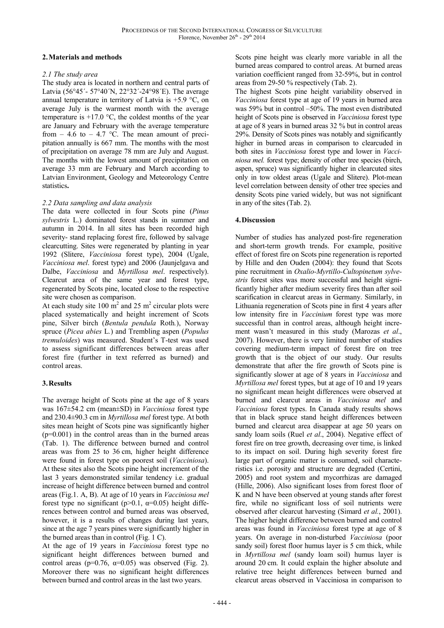## **2.Materials and methods**

### *2.1 The study area*

The study area is located in northern and central parts of Latvia (56°45´- 57°40´N, 22°32´-24°98´E). The average annual temperature in territory of Latvia is  $+5.9$  °C, on average July is the warmest month with the average temperature is  $+17.0$  °C, the coldest months of the year are January and February with the average temperature from  $-4.6$  to  $-4.7$  °C. The mean amount of precipitation annually is 667 mm. The months with the most of precipitation on average 78 mm are July and August. The months with the lowest amount of precipitation on average 33 mm are February and March according to Latvian Environment, Geology and Meteorology Centre statistics**.**

## *2.2 Data sampling and data analysis*

The data were collected in four Scots pine (*Pinus sylvestris* L.) dominated forest stands in summer and autumn in 2014. In all sites has been recorded high severity- stand replacing forest fire, followed by salvage clearcutting. Sites were regenerated by planting in year 1992 (Slitere, *Vacciniosa* forest type), 2004 (Ugale, *Vacciniosa mel*. forest type) and 2006 (Jaunjelgava and Dalbe, *Vacciniosa* and *Myrtillosa mel*. respectively). Clearcut area of the same year and forest type, regenerated by Scots pine, located close to the respective site were chosen as comparison.

At each study site 100  $\text{m}^2$  and 25  $\text{m}^2$  circular plots were placed systematically and height increment of Scots pine, Silver birch (*Bentula pendula* Roth*.*), Norway spruce (*Picea abies* L*.*) and Trembling aspen (*Populus tremuloides*) was measured. Student's T-test was used to assess significant differences between areas after forest fire (further in text referred as burned) and control areas.

## **3.Results**

The average height of Scots pine at the age of 8 years was 167±54.2 cm (mean±SD) in *Vacciniosa* forest type and 230.4±90.3 cm in *Myrtillosa mel* forest type. At both sites mean height of Scots pine was significantly higher  $(p=0.001)$  in the control areas than in the burned areas (Tab. 1). The difference between burned and control areas was from 25 to 36 cm, higher height difference were found in forest type on poorest soil (*Vacciniosa*). At these sites also the Scots pine height increment of the last 3 years demonstrated similar tendency i.e. gradual increase of height difference between burned and control areas (Fig.1. A, B). At age of 10 years in *Vacciniosa mel* forest type no significant ( $p>0.1$ ,  $\alpha=0.05$ ) height differences between control and burned areas was observed, however, it is a results of changes during last years, since at the age 7 years pines were significantly higher in the burned areas than in control (Fig. 1 C).

At the age of 19 years in *Vacciniosa* forest type no significant height differences between burned and control areas ( $p=0.76$ ,  $\alpha=0.05$ ) was observed (Fig. 2). Moreover there was no significant height differences between burned and control areas in the last two years.

Scots pine height was clearly more variable in all the burned areas compared to control areas. At burned areas variation coefficient ranged from 32-59%, but in control areas from 29-50 % respectively (Tab. 2).

The highest Scots pine height variability observed in *Vacciniosa* forest type at age of 19 years in burned area was 59% but in control –50%. The most even distributed height of Scots pine is observed in *Vacciniosa* forest type at age of 8 years in burned areas 32 % but in control areas 29%. Density of Scots pines was notably and significantly higher in burned areas in comparison to clearcuded in both sites in *Vacciniosa* forest type and lower in *Vacciniosa mel.* forest type; density of other tree species (birch, aspen, spruce) was significantly higher in clearcuted sites only in tow oldest areas (Ugale and Slitere). Plot-mean level correlation between density of other tree species and density Scots pine varied widely, but was not significant in any of the sites (Tab. 2).

## **4.Discussion**

Number of studies has analyzed post-fire regeneration and short-term growth trends. For example, positive effect of forest fire on Scots pine regeneration is reported by Hille and den Ouden (2004): they found that Scots pine recruitment in *Oxalio-Myrtillo-Cultopinetum sylvestris* forest sites was more successful and height significantly higher after medium severity fires than after soil scarification in clearcut areas in Germany. Similarly, in Lithuania regeneration of Scots pine in first 4 years after low intensity fire in *Vaccinium* forest type was more successful than in control areas, although height increment wasn't measured in this study (Marozas *et al*., 2007). However, there is very limited number of studies covering medium-term impact of forest fire on tree growth that is the object of our study. Our results demonstrate that after the fire growth of Scots pine is significantly slower at age of 8 years in *Vacciniosa* and *Myrtillosa mel* forest types, but at age of 10 and 19 years no significant mean height differences were observed at burned and clearcut areas in *Vacciniosa mel* and *Vacciniosa* forest types. In Canada study results shows that in black spruce stand height differences between burned and clearcut area disappear at age 50 years on sandy loam soils (Ruel *et al*., 2004). Negative effect of forest fire on tree growth, decreasing over time, is linked to its impact on soil. During high severity forest fire large part of organic matter is consumed, soil characteristics i.e. porosity and structure are degraded (Certini, 2005) and root system and mycorrhizas are damaged (Hille, 2006). Also significant loses from forest floor of K and N have been observed at young stands after forest fire, while no significant loss of soil nutrients were observed after clearcut harvesting (Simard *et al.*, 2001). The higher height difference between burned and control areas was found in *Vacciniosa* forest type at age of 8 years. On average in non-disturbed *Vacciniosa* (poor sandy soil) forest floor humus layer is 5 cm thick, while in *Myrtillosa mel* (sandy loam soil) humus layer is around 20 cm. It could explain the higher absolute and relative tree height differences between burned and clearcut areas observed in Vacciniosa in comparison to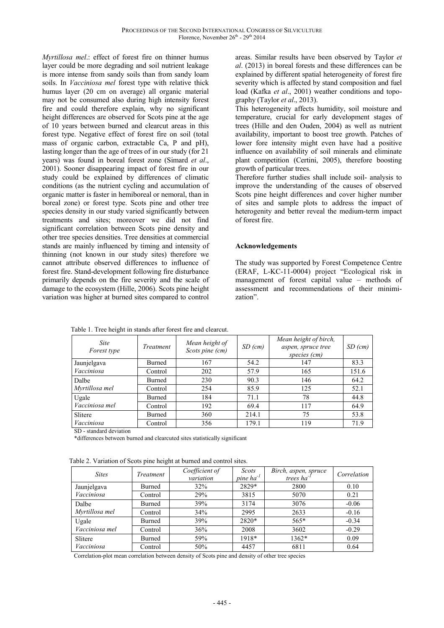*Myrtillosa mel*.: effect of forest fire on thinner humus layer could be more degrading and soil nutrient leakage is more intense from sandy soils than from sandy loam soils. In *Vacciniosa mel* forest type with relative thick humus layer (20 cm on average) all organic material may not be consumed also during high intensity forest fire and could therefore explain, why no significant height differences are observed for Scots pine at the age of 10 years between burned and clearcut areas in this forest type. Negative effect of forest fire on soil (total mass of organic carbon, extractable Ca, P and pH), lasting longer than the age of trees of in our study (for 21 years) was found in boreal forest zone (Simard *et al*., 2001). Sooner disappearing impact of forest fire in our study could be explained by differences of climatic conditions (as the nutrient cycling and accumulation of organic matter is faster in hemiboreal or nemoral, than in boreal zone) or forest type. Scots pine and other tree species density in our study varied significantly between treatments and sites; moreover we did not find significant correlation between Scots pine density and other tree species densities. Tree densities at commercial stands are mainly influenced by timing and intensity of thinning (not known in our study sites) therefore we cannot attribute observed differences to influence of forest fire. Stand-development following fire disturbance primarily depends on the fire severity and the scale of damage to the ecosystem (Hille, 2006). Scots pine height variation was higher at burned sites compared to control

areas. Similar results have been observed by Taylor *et al*. (2013) in boreal forests and these differences can be explained by different spatial heterogeneity of forest fire severity which is affected by stand composition and fuel load (Kafka *et al*., 2001) weather conditions and topography (Taylor *et al*., 2013).

This heterogeneity affects humidity, soil moisture and temperature, crucial for early development stages of trees (Hille and den Ouden, 2004) as well as nutrient availability, important to boost tree growth. Patches of lower fore intensity might even have had a positive influence on availability of soil minerals and eliminate plant competition (Certini, 2005), therefore boosting growth of particular trees.

Therefore further studies shall include soil- analysis to improve the understanding of the causes of observed Scots pine height differences and cover higher number of sites and sample plots to address the impact of heterogenity and better reveal the medium-term impact of forest fire.

## **Acknowledgements**

The study was supported by Forest Competence Centre (ERAF, L-KC-11-0004) project "Ecological risk in management of forest capital value – methods of assessment and recommendations of their minimization".

| <b>Site</b><br><i>Forest type</i> | Treatment     | Mean height of<br>Scots pine (cm) | $SD$ (cm) | Mean height of birch,<br>aspen, spruce tree<br>species (cm) | $SD$ (cm) |
|-----------------------------------|---------------|-----------------------------------|-----------|-------------------------------------------------------------|-----------|
| Jaunjelgava<br>Vacciniosa         | <b>Burned</b> | 167                               | 54.2      | 147                                                         | 83.3      |
|                                   | Control       | 202                               | 57.9      | 165                                                         | 151.6     |
| Dalbe<br>Myrtillosa mel           | <b>Burned</b> | 230                               | 90.3      | 146                                                         | 64.2      |
|                                   | Control       | 254                               | 85.9      | 125                                                         | 52.1      |
| Ugale<br>Vacciniosa mel           | Burned        | 184                               | 71.1      | 78                                                          | 44.8      |
|                                   | Control       | 192                               | 69.4      | 117                                                         | 64.9      |
| Slitere<br>Vacciniosa             | Burned        | 360                               | 214.1     | 75                                                          | 53.8      |
|                                   | Control       | 356                               | 179.1     | 119                                                         | 71.9      |

Table 1. Tree height in stands after forest fire and clearcut.

SD - standard deviation

\*differences between burned and clearcuted sites statistically significant

Table 2. Variation of Scots pine height at burned and control sites.

| <b>Sites</b>              | Treatment | Coefficient of<br>variation | Scots<br>pine $ha^{-1}$ | Birch, aspen, spruce<br>trees $ha^{-1}$ | Correlation |
|---------------------------|-----------|-----------------------------|-------------------------|-----------------------------------------|-------------|
| Jaunjelgava<br>Vacciniosa | Burned    | 32%                         | 2829*                   | 2800                                    | 0.10        |
|                           | Control   | 29%                         | 3815                    | 5070                                    | 0.21        |
| Dalbe<br>Myrtillosa mel   | Burned    | 39%                         | 3174                    | 3076                                    | $-0.06$     |
|                           | Control   | 34%                         | 2995                    | 2633                                    | $-0.16$     |
| Ugale<br>Vacciniosa mel   | Burned    | 39%                         | $2820*$                 | $565*$                                  | $-0.34$     |
|                           | Control   | 36%                         | 2008                    | 3602                                    | $-0.29$     |
| Slitere<br>Vacciniosa     | Burned    | 59%                         | 1918*                   | $1362*$                                 | 0.09        |
|                           | Control   | 50%                         | 4457                    | 6811                                    | 0.64        |

Correlation-plot mean correlation between density of Scots pine and density of other tree species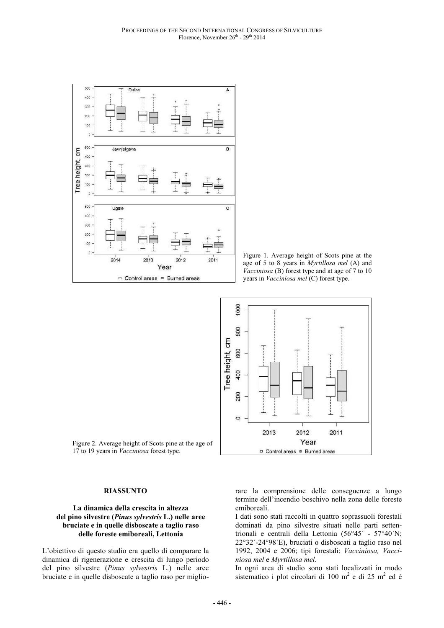

Figure 1. Average height of Scots pine at the age of 5 to 8 years in *Myrtillosa mel* (A) and *Vacciniosa* (B) forest type and at age of 7 to 10 years in *Vacciniosa mel* (C) forest type.



Figure 2. Average height of Scots pine at the age of 17 to 19 years in *Vacciniosa* forest type.

#### **RIASSUNTO**

#### **La dinamica della crescita in altezza del pino silvestre (***Pinus sylvestris* **L.) nelle aree bruciate e in quelle disboscate a taglio raso delle foreste emiboreali, Lettonia**

L'obiettivo di questo studio era quello di comparare la dinamica di rigenerazione e crescita di lungo periodo del pino silvestre (*Pinus sylvestris* L.) nelle aree bruciate e in quelle disboscate a taglio raso per migliorare la comprensione delle conseguenze a lungo termine dell'incendio boschivo nella zona delle foreste emiboreali.

I dati sono stati raccolti in quattro soprassuoli forestali dominati da pino silvestre situati nelle parti settentrionali e centrali della Lettonia (56°45´ - 57°40´N; 22°32´-24°98´E), bruciati o disboscati a taglio raso nel 1992, 2004 e 2006; tipi forestali: *Vacciniosa, Vacciniosa mel* e *Myrtillosa mel*.

In ogni area di studio sono stati localizzati in modo sistematico i plot circolari di 100 m<sup>2</sup> e di 25 m<sup>2</sup> ed è